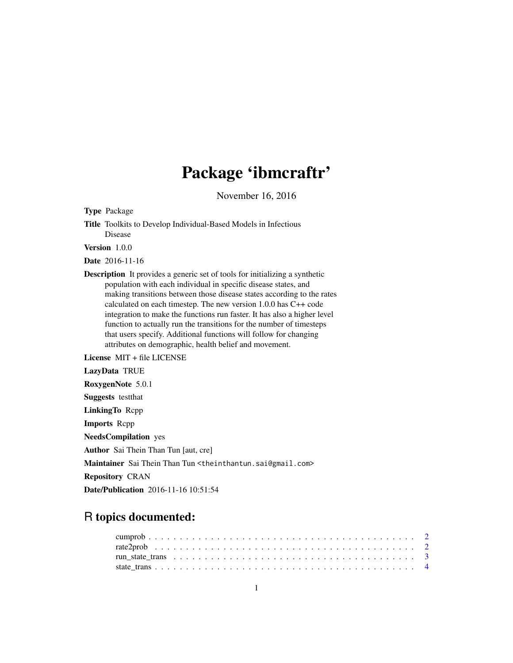# Package 'ibmcraftr'

November 16, 2016

Type Package

Title Toolkits to Develop Individual-Based Models in Infectious Disease

Version 1.0.0

Date 2016-11-16

Description It provides a generic set of tools for initializing a synthetic population with each individual in specific disease states, and making transitions between those disease states according to the rates calculated on each timestep. The new version 1.0.0 has C++ code integration to make the functions run faster. It has also a higher level function to actually run the transitions for the number of timesteps that users specify. Additional functions will follow for changing attributes on demographic, health belief and movement.

License MIT + file LICENSE

LazyData TRUE

RoxygenNote 5.0.1

Suggests testthat

LinkingTo Rcpp

Imports Rcpp

NeedsCompilation yes

Author Sai Thein Than Tun [aut, cre]

Maintainer Sai Thein Than Tun <theinthantun.sai@gmail.com>

Repository CRAN

Date/Publication 2016-11-16 10:51:54

# R topics documented: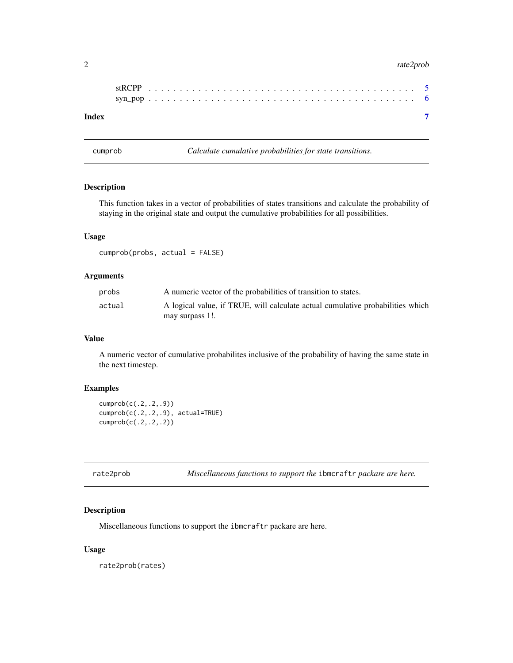#### <span id="page-1-0"></span>2 rate2prob

| Index |  |  |  |  |  |  |  |  |  |  |  |  |  |  |  |  |  |  |  |  |  |  |
|-------|--|--|--|--|--|--|--|--|--|--|--|--|--|--|--|--|--|--|--|--|--|--|

cumprob *Calculate cumulative probabilities for state transitions.*

#### Description

This function takes in a vector of probabilities of states transitions and calculate the probability of staying in the original state and output the cumulative probabilities for all possibilities.

#### Usage

cumprob(probs, actual = FALSE)

# Arguments

| probs  | A numeric vector of the probabilities of transition to states.                 |
|--------|--------------------------------------------------------------------------------|
| actual | A logical value, if TRUE, will calculate actual cumulative probabilities which |
|        | may surpass 1!.                                                                |

#### Value

A numeric vector of cumulative probabilites inclusive of the probability of having the same state in the next timestep.

#### Examples

cumprob(c(.2,.2,.9)) cumprob(c(.2,.2,.9), actual=TRUE) cumprob(c(.2,.2,.2))

| rate2prob | Miscellaneous functions to support the ibmcraftr packare are here. |  |  |  |
|-----------|--------------------------------------------------------------------|--|--|--|
|           |                                                                    |  |  |  |

# Description

Miscellaneous functions to support the ibmcraftr packare are here.

#### Usage

rate2prob(rates)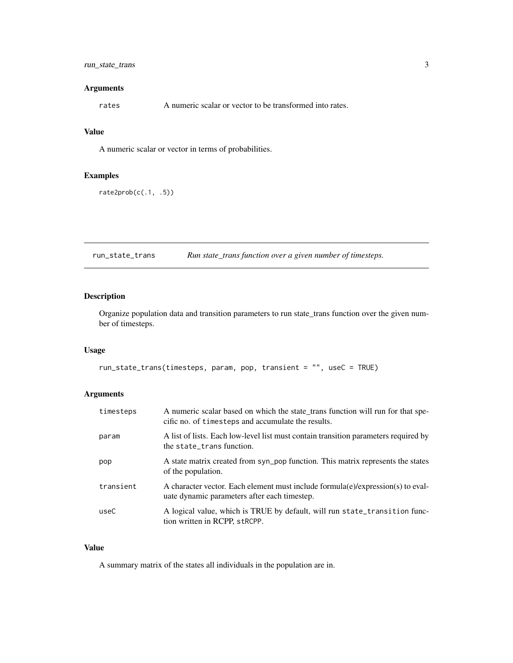# <span id="page-2-0"></span>run\_state\_trans 3

#### Arguments

rates A numeric scalar or vector to be transformed into rates.

# Value

A numeric scalar or vector in terms of probabilities.

#### Examples

rate2prob(c(.1, .5))

run\_state\_trans *Run state\_trans function over a given number of timesteps.*

#### Description

Organize population data and transition parameters to run state\_trans function over the given number of timesteps.

#### Usage

```
run_state_trans(timesteps, param, pop, transient = "", useC = TRUE)
```
# Arguments

| timesteps | A numeric scalar based on which the state_trans function will run for that spe-<br>cific no. of timesteps and accumulate the results. |
|-----------|---------------------------------------------------------------------------------------------------------------------------------------|
| param     | A list of lists. Each low-level list must contain transition parameters required by<br>the state_trans function.                      |
| pop       | A state matrix created from syn_pop function. This matrix represents the states<br>of the population.                                 |
| transient | A character vector. Each element must include formula(e)/expression(s) to eval-<br>uate dynamic parameters after each timestep.       |
| useC      | A logical value, which is TRUE by default, will run state_transition func-<br>tion written in RCPP, strcPP.                           |

# Value

A summary matrix of the states all individuals in the population are in.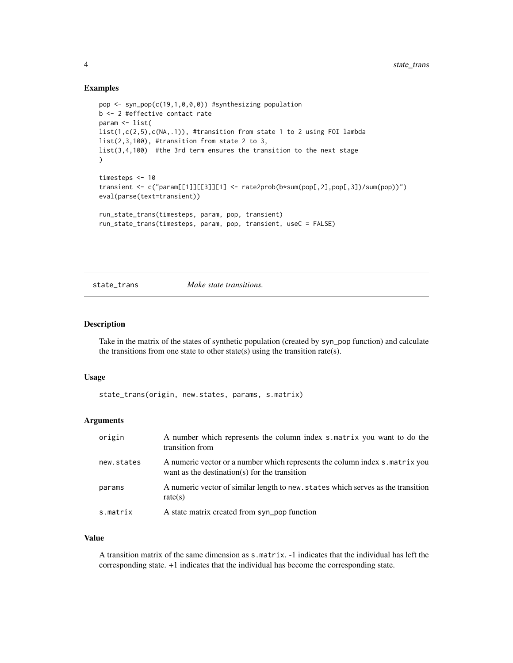#### Examples

```
pop <- syn_pop(c(19,1,0,0,0)) #synthesizing population
b <- 2 #effective contact rate
param <- list(
list(1,c(2,5),c(NA,.1)), #transition from state 1 to 2 using FOI lambda
list(2,3,100), #transition from state 2 to 3,
list(3,4,100) #the 3rd term ensures the transition to the next stage
)
timesteps <- 10
transient <- c("param[[1]][[3]][1] <- rate2prob(b*sum(pop[,2],pop[,3])/sum(pop))")
eval(parse(text=transient))
run_state_trans(timesteps, param, pop, transient)
run_state_trans(timesteps, param, pop, transient, useC = FALSE)
```
state\_trans *Make state transitions.*

#### Description

Take in the matrix of the states of synthetic population (created by syn\_pop function) and calculate the transitions from one state to other state(s) using the transition rate(s).

#### Usage

state\_trans(origin, new.states, params, s.matrix)

#### Arguments

| origin     | A number which represents the column index s.matrix you want to do the<br>transition from                                     |
|------------|-------------------------------------------------------------------------------------------------------------------------------|
| new.states | A numeric vector or a number which represents the column index s. matrix you<br>want as the destination(s) for the transition |
| params     | A numeric vector of similar length to new, states which serves as the transition<br>rate(s)                                   |
| s.matrix   | A state matrix created from syn_pop function                                                                                  |

#### Value

A transition matrix of the same dimension as s.matrix. -1 indicates that the individual has left the corresponding state. +1 indicates that the individual has become the corresponding state.

<span id="page-3-0"></span>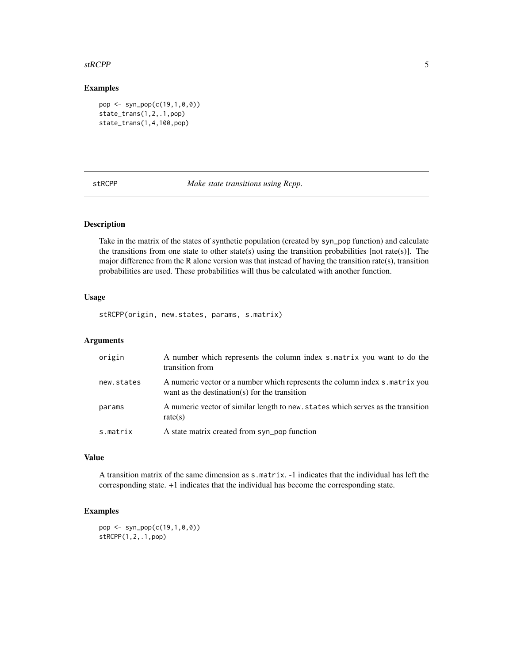#### <span id="page-4-0"></span>stRCPP 5

# Examples

```
pop <- syn_pop(c(19,1,0,0))
state_trans(1,2,.1,pop)
state_trans(1,4,100,pop)
```
stRCPP *Make state transitions using Rcpp.*

#### Description

Take in the matrix of the states of synthetic population (created by syn\_pop function) and calculate the transitions from one state to other state(s) using the transition probabilities [not rate(s)]. The major difference from the R alone version was that instead of having the transition rate(s), transition probabilities are used. These probabilities will thus be calculated with another function.

#### Usage

stRCPP(origin, new.states, params, s.matrix)

# Arguments

| origin     | A number which represents the column index s.matrix you want to do the<br>transition from                                     |
|------------|-------------------------------------------------------------------------------------------------------------------------------|
| new.states | A numeric vector or a number which represents the column index s. matrix you<br>want as the destination(s) for the transition |
| params     | A numeric vector of similar length to new, states which serves as the transition<br>rate(s)                                   |
| s.matrix   | A state matrix created from syn_pop function                                                                                  |

#### Value

A transition matrix of the same dimension as s.matrix. -1 indicates that the individual has left the corresponding state. +1 indicates that the individual has become the corresponding state.

# Examples

```
pop <- syn_pop(c(19,1,0,0))
stRCPP(1,2,.1,pop)
```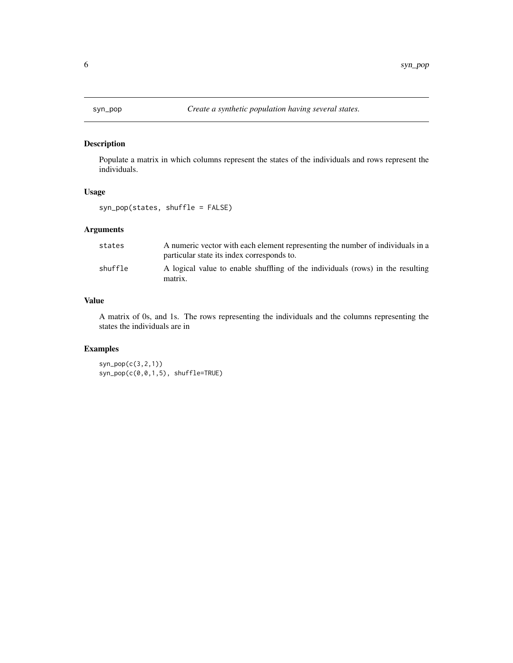<span id="page-5-0"></span>

# Description

Populate a matrix in which columns represent the states of the individuals and rows represent the individuals.

#### Usage

syn\_pop(states, shuffle = FALSE)

# Arguments

| states  | A numeric vector with each element representing the number of individuals in a<br>particular state its index corresponds to. |
|---------|------------------------------------------------------------------------------------------------------------------------------|
| shuffle | A logical value to enable shuffling of the individuals (rows) in the resulting<br>matrix.                                    |

#### Value

A matrix of 0s, and 1s. The rows representing the individuals and the columns representing the states the individuals are in

# Examples

syn\_pop(c(3,2,1)) syn\_pop(c(0,0,1,5), shuffle=TRUE)